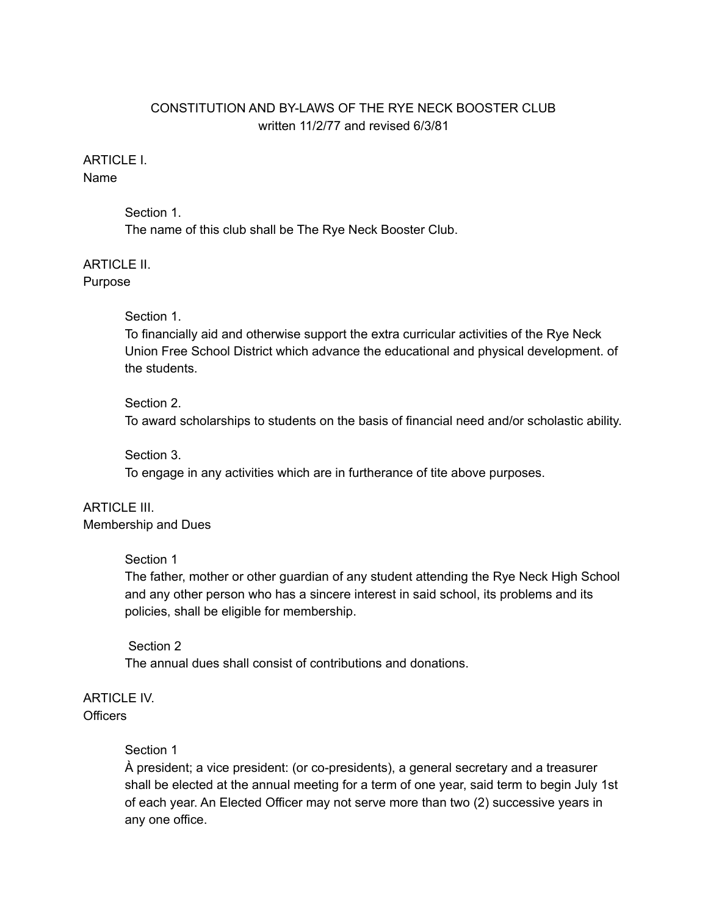# CONSTITUTION AND BY-LAWS OF THE RYE NECK BOOSTER CLUB written 11/2/77 and revised 6/3/81

# ARTICLE I.

Name

Section 1. The name of this club shall be The Rye Neck Booster Club.

ARTICLE II. Purpose

## Section 1.

To financially aid and otherwise support the extra curricular activities of the Rye Neck Union Free School District which advance the educational and physical development. of the students.

## Section 2.

To award scholarships to students on the basis of financial need and/or scholastic ability.

## Section 3.

To engage in any activities which are in furtherance of tite above purposes.

#### ARTICLE III. Membership and Dues

## Section 1

The father, mother or other guardian of any student attending the Rye Neck High School and any other person who has a sincere interest in said school, its problems and its policies, shall be eligible for membership.

## Section 2

The annual dues shall consist of contributions and donations.

# ARTICLE IV. Officers

# Section 1

À president; a vice president: (or co-presidents), a general secretary and a treasurer shall be elected at the annual meeting for a term of one year, said term to begin July 1st of each year. An Elected Officer may not serve more than two (2) successive years in any one office.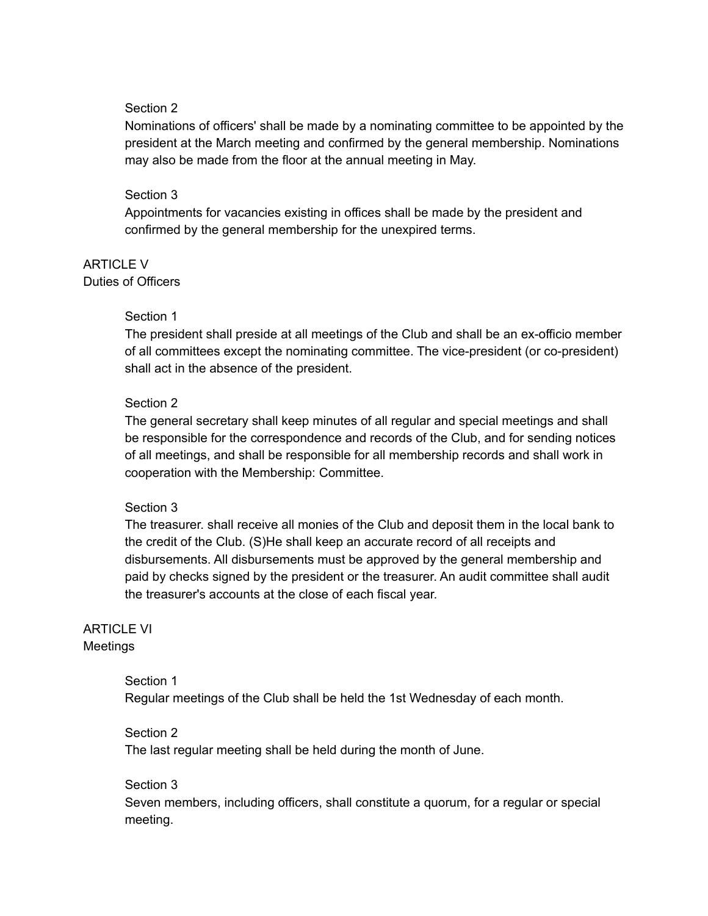#### Section 2

Nominations of officers' shall be made by a nominating committee to be appointed by the president at the March meeting and confirmed by the general membership. Nominations may also be made from the floor at the annual meeting in May.

#### Section 3

Appointments for vacancies existing in offices shall be made by the president and confirmed by the general membership for the unexpired terms.

ARTICLE V Duties of Officers

#### Section 1

The president shall preside at all meetings of the Club and shall be an ex-officio member of all committees except the nominating committee. The vice-president (or co-president) shall act in the absence of the president.

## Section 2

The general secretary shall keep minutes of all regular and special meetings and shall be responsible for the correspondence and records of the Club, and for sending notices of all meetings, and shall be responsible for all membership records and shall work in cooperation with the Membership: Committee.

#### Section 3

The treasurer. shall receive all monies of the Club and deposit them in the local bank to the credit of the Club. (S)He shall keep an accurate record of all receipts and disbursements. All disbursements must be approved by the general membership and paid by checks signed by the president or the treasurer. An audit committee shall audit the treasurer's accounts at the close of each fiscal year.

## ARTICLE VI Meetings

Section 1 Regular meetings of the Club shall be held the 1st Wednesday of each month.

#### Section 2

The last regular meeting shall be held during the month of June.

#### Section 3

Seven members, including officers, shall constitute a quorum, for a regular or special meeting.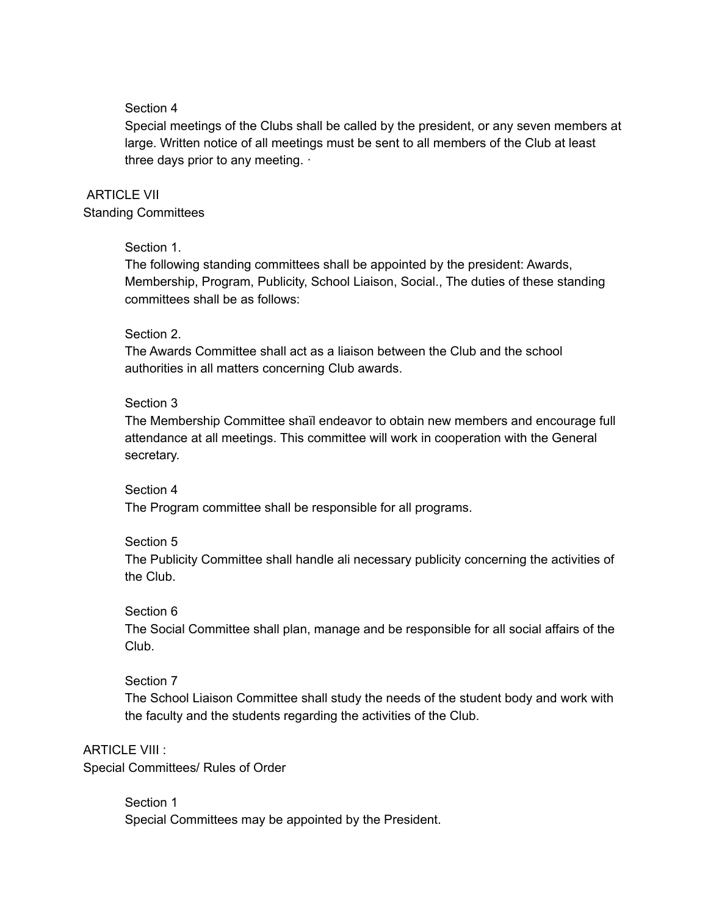## Section 4

Special meetings of the Clubs shall be called by the president, or any seven members at large. Written notice of all meetings must be sent to all members of the Club at least three days prior to any meeting. ·

# ARTICLE VII

Standing Committees

## Section 1.

The following standing committees shall be appointed by the president: Awards, Membership, Program, Publicity, School Liaison, Social., The duties of these standing committees shall be as follows:

#### Section 2.

The Awards Committee shall act as a liaison between the Club and the school authorities in all matters concerning Club awards.

## Section 3

The Membership Committee shaïl endeavor to obtain new members and encourage full attendance at all meetings. This committee will work in cooperation with the General secretary.

#### Section 4

The Program committee shall be responsible for all programs.

#### Section 5

The Publicity Committee shall handle ali necessary publicity concerning the activities of the Club.

#### Section 6

The Social Committee shall plan, manage and be responsible for all social affairs of the Club.

#### Section 7

The School Liaison Committee shall study the needs of the student body and work with the faculty and the students regarding the activities of the Club.

# ARTICLE VIII :

Special Committees/ Rules of Order

Section 1 Special Committees may be appointed by the President.